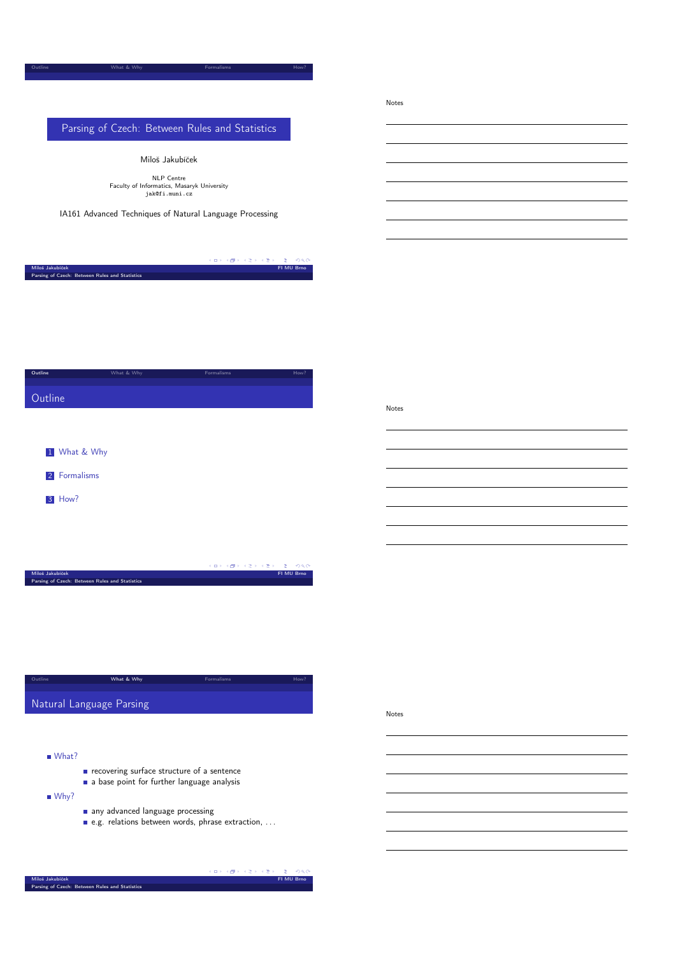## Parsing of Czech: Between Rules and Statistics

Outline What & Why Formalisms How?

Miloš Jakubíček

NLP Centre Faculty of Informatics, Masaryk University jak@fi.muni.cz

IA161 Advanced Techniques of Natural Language Processing

|                                                | イロト イタト イミト イミト ニヨー つくび |
|------------------------------------------------|-------------------------|
| Miloš Jakubíček                                | FI MU Brno              |
| Parsing of Czech: Between Rules and Statistics |                         |

| Outline | What & Why | Formalisms | How? |
|---------|------------|------------|------|
|         |            |            |      |
|         |            |            |      |
| Outline |            |            |      |
|         |            |            |      |
|         |            |            |      |
|         |            |            |      |
|         |            |            |      |

|  | 1 What & Why  |
|--|---------------|
|  | 2 Formalisms  |
|  | <b>3</b> How? |
|  |               |
|  |               |

|                                                | - イロッ イ何ッ イヨッ イヨッ - ヨー めな( |  |            |  |
|------------------------------------------------|----------------------------|--|------------|--|
| Miloš Jakubíček                                |                            |  | FI MU Brno |  |
| Parsing of Czech: Between Rules and Statistics |                            |  |            |  |
|                                                |                            |  |            |  |

<span id="page-0-0"></span>

| Outline                  | What & Why | <b>Formalisms</b> | How? |
|--------------------------|------------|-------------------|------|
| Natural Language Parsing |            |                   |      |

What?

- $\blacksquare$  [recoverin](#page-0-0)g surface structure of a sentence
- a base point for further language analysis

■ [Why?](#page-1-0)

- any advanced language processing
- e.g. relations between words, phrase extraction, . . .

**Contract**  $0.00$ Miloš Jakubíček FI MU Brno Parsing of Czech: Between Rules and Statistics

#### Notes

Notes

Notes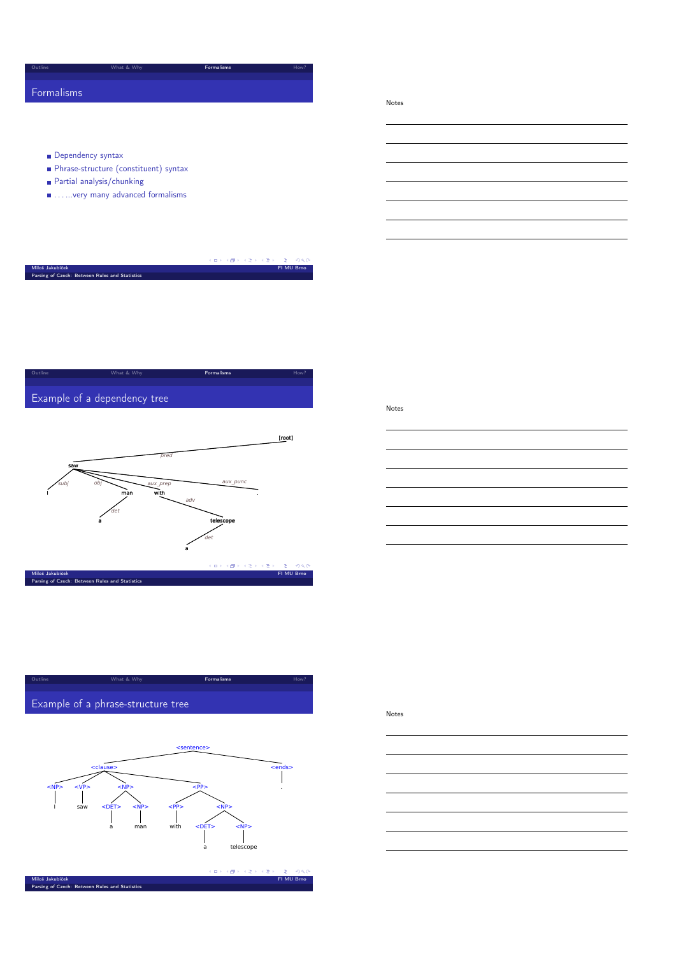## Formalisms

Notes

- Dependency syntax
- Phrase-structure (constituent) syntax
- Partial analysis/chunking
- $\blacksquare$  . . . . . . very many advanced formalisms

| Miloš Jakubíček                                | FI MU Brno |
|------------------------------------------------|------------|
| Parsing of Czech: Between Rules and Statistics |            |
|                                                |            |
|                                                |            |
|                                                |            |
|                                                |            |
|                                                |            |

outline **Communisms** How Monte What & Why **Formalisms How** Providence How Providence How Providence How Providence How Providence How Providence How Providence How Providence How Providence How Providence How Providence









<span id="page-1-0"></span>



## Notes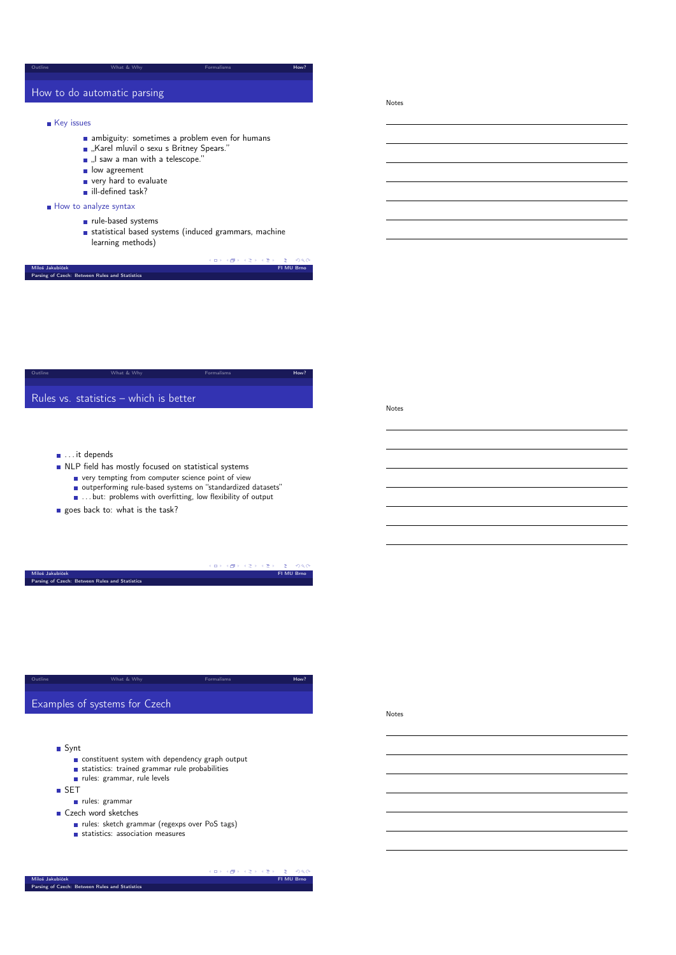## How to do automatic parsing

## **Key** issues

**a** ambiguity: sometimes a problem even for humans

outline **How?** What & Why **Formalisms** Formalisms **How?** 

- "Karel mluvil o sexu s Britney Spears."
- "I saw a man with a telescope."
- $\overline{\phantom{a}}$  low agreement
- very hard to evaluate
- ill-defined task?
- How to analyze syntax

Parsing of Czech: Between Rules and Statistics

- ule-based systems
- statistical based systems (induced grammars, machine learning methods)

a mili *CALLANTIC*  $000$ т. FI MU Brno

outline **How?** What & Why **Formalisms** Formalisms **How?** Rules vs. statistics – which is better

Notes

Notes

Notes

■ ... it depends

- $\blacksquare$  NLP field has mostly focused on statistical systems
	- very tempting from computer science point of view
	- outperforming rule-based systems on "standardized datasets"
	- **...** ... but: problems with overfitting, low flexibility of output
- goes back to: what is the task?

|                                                | $\mathcal{A} \otimes \mathcal{A} \rightarrow \mathcal{A} \otimes \mathcal{B} \rightarrow \mathcal{A} \otimes \mathcal{B} \rightarrow \mathcal{A} \otimes \mathcal{B} \rightarrow \mathcal{A} \otimes \mathcal{A} \otimes \mathcal{A}$ |
|------------------------------------------------|---------------------------------------------------------------------------------------------------------------------------------------------------------------------------------------------------------------------------------------|
| Miloš Jakubíček<br>FI MU Brno                  |                                                                                                                                                                                                                                       |
| Parsing of Czech: Between Rules and Statistics |                                                                                                                                                                                                                                       |

| Outline | What & Why                    | <b>Formalisms</b> | How? |
|---------|-------------------------------|-------------------|------|
|         |                               |                   |      |
|         | Examples of systems for Czech |                   |      |

- Synt
	- constituent system with dependency graph output
	- statistics: trained grammar rule probabilities
	- rules: grammar, rule levels

**SET** 

- rules: grammar
- Czech word sketches
	- rules: sketch grammar (regexps over PoS tags)
	- statistics: association measures

 $\mathbb{R}^2$ i ka s in an Miloš Jakubíček FI MU Brno Parsing of Czech: Between Rules and Statistics

 $\epsilon \approx 1$  $\sim$  $\sim$   $\sim$